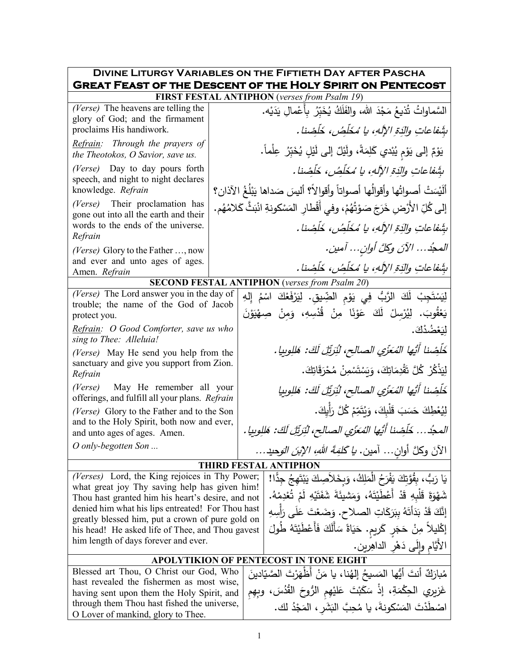|                                                                                                                   |                                                         |  | <b>DIVINE LITURGY VARIABLES ON THE FIFTIETH DAY AFTER PASCHA</b>                   |  |  |
|-------------------------------------------------------------------------------------------------------------------|---------------------------------------------------------|--|------------------------------------------------------------------------------------|--|--|
| <b>GREAT FEAST OF THE DESCENT OF THE HOLY SPIRIT ON PENTECOST</b><br>FIRST FESTAL ANTIPHON (verses from Psalm 19) |                                                         |  |                                                                                    |  |  |
|                                                                                                                   |                                                         |  |                                                                                    |  |  |
| (Verse) The heavens are telling the<br>glory of God; and the firmament                                            |                                                         |  | السَّماواتُ تُذيعُ مَجْدَ الله، والفَلَكُ يُخَبِّرُ بِأَعْمالِ يَدَيْه.            |  |  |
| proclaims His handiwork.<br>Refrain: Through the prayers of                                                       |                                                         |  | بِثَنفاعاتِ والدِّقِ الإِلَهِ، يا مُخَلِّصُ، خَلَصْنا.                             |  |  |
| the Theotokos, O Savior, save us.                                                                                 |                                                         |  | يَوْمٌ إلى يَوْمٍ يُبْدي كَلِمَةً، ولَيْلٌ إلى لَيْلٍ يُخَبِّرُ عِلْماً.           |  |  |
| (Verse) Day to day pours forth<br>speech, and night to night declares                                             | بِشَفاعاتِ والَّذِةِ الإِلَهِ، يا مُخَلِّصُ، خَلِّصْنا. |  |                                                                                    |  |  |
| knowledge. Refrain                                                                                                |                                                         |  | أَلَيْسَتْ أَصواتُها وأقوالُها أصواتاً وأقوالاً؟ أليسَ صَداها يَبْلُغُ الآذان؟     |  |  |
| (Verse) Their proclamation has<br>gone out into all the earth and their                                           |                                                         |  | إلى كُلِّ الأَرْضِ خَرَجَ صَوْتُهُمْ، وفي أَقْطارِ المَسْكونةِ انْبَثَّ كَلامُهُم. |  |  |
| words to the ends of the universe.                                                                                |                                                         |  | بِثَنفاعاتِ والَّذِةِ الإِلَهِ، يا مُخَلِّصُ، خَلِّصْنا .                          |  |  |
| Refrain                                                                                                           |                                                         |  |                                                                                    |  |  |
| (Verse) Glory to the Father , now<br>and ever and unto ages of ages.                                              |                                                         |  | المجدُ الآنَ وكلَّ أوانِ آمين.                                                     |  |  |
| Amen. Refrain                                                                                                     |                                                         |  | بِثَنفاعاتِ والدَةِ الإِلهِ، يا مُخَلِّصُ، خَلِّضنا.                               |  |  |
|                                                                                                                   |                                                         |  | <b>SECOND FESTAL ANTIPHON</b> (verses from Psalm 20)                               |  |  |
| (Verse) The Lord answer you in the day of                                                                         |                                                         |  | لِيَسْتَجِبْ لَكَ الرَّبُ فِي يَوْمِ الضِّيقِ. لِيَرْفَعْكَ اسْمُ إِلهِ            |  |  |
| trouble; the name of the God of Jacob<br>protect you.                                                             |                                                         |  | يَعْقُوبَ. لِيُرْسِلْ لَكَ عَوْنَا مِنْ قُدْسِهِ، وَمِنْ صِهْيَوْنَ                |  |  |
| Refrain: O Good Comforter, save us who                                                                            |                                                         |  | لِيَعْضُدْكَ.                                                                      |  |  |
| sing to Thee: Alleluia!<br>(Verse) May He send you help from the                                                  |                                                         |  | خَلْصْنا أَنْيها المُعَزْي الصالح، لْنَرَنِّلَ لَكَ: هَلِلُوبِيا .                 |  |  |
| sanctuary and give you support from Zion.                                                                         |                                                         |  | لِيَذْكُرْ كُلَّ تَقْدِمَاتِكَ، وَيَسْتَسْمِنْ مُحْرَقَاتِكَ.                      |  |  |
| Refrain<br>(Verse) May He remember all your                                                                       |                                                         |  | خَلَصْنا أَيُّها المُعَزِّي الصالح، لِنَزِّيِّلِ لَكَ: هَلِلُوبِيا                 |  |  |
| offerings, and fulfill all your plans. Refrain<br>(Verse) Glory to the Father and to the Son                      |                                                         |  | لِيُعْطِكَ حَسَبَ قَلْبِكَ، وَيُتَمِّمْ كُلَّ رَأْيِكَ.                            |  |  |
| and to the Holy Spirit, both now and ever,                                                                        |                                                         |  |                                                                                    |  |  |
| and unto ages of ages. Amen.                                                                                      |                                                         |  | المجدُ خَلَصْنا أَيُها المُعَزِّي الصالح، لِنَرتِّلِ لَكَ: هَللوبِيا .             |  |  |
| O only-begotten Son                                                                                               |                                                         |  | الآنَ وكلَّ أوان آمين. <i>يا كُلِّمَةَ اللّ</i> هِ، <i>الإبنَ الوَ</i> حيد         |  |  |
|                                                                                                                   |                                                         |  | <b>THIRD FESTAL ANTIPHON</b>                                                       |  |  |
| (Verses) Lord, the King rejoices in Thy Power;                                                                    |                                                         |  | يَا رَبُّ، بِقُوَّتِكَ يَفْرَحُ الْمَلِكُ، وَبِخَلاَصِكَ يَبْتَهِجُ جِدًّا!        |  |  |
| what great joy Thy saving help has given him!<br>Thou hast granted him his heart's desire, and not                |                                                         |  | شَهْوَةَ قَلْبِهِ قَدْ أَعْطَيْتَهُ، وَمَشيئَةَ شَفَتَيْهِ لَمْ تُعْدِمْهُ.        |  |  |
|                                                                                                                   |                                                         |  |                                                                                    |  |  |
| denied him what his lips entreated! For Thou hast<br>greatly blessed him, put a crown of pure gold on             |                                                         |  | إِنَّكَ قَدْ بَدَأَتَهُ بِبَرَكَاتِ الصلاحِ. وَضَعْتَ عَلَى رَأْسِهِ               |  |  |
| his head! He asked life of Thee, and Thou gavest                                                                  |                                                         |  | إكْليلاً مِنْ حَجَرٍ كَريمٍ. حَيَاةً سَأَلَكَ فَأَعْطَيْتَهُ طُولَ                 |  |  |
| him length of days forever and ever.                                                                              |                                                         |  | الأَيَّام وَإِلَى دَهْرِ الداهِرِينِ.                                              |  |  |
|                                                                                                                   |                                                         |  | <b>APOLYTIKION OF PENTECOST IN TONE EIGHT</b>                                      |  |  |
| Blessed art Thou, O Christ our God, Who                                                                           |                                                         |  | مُبارَكٌ أَنتَ أَيُّها المَسيحُ إلهُنا، يا مَنْ أَظْهَرْتَ الصَّيّادينَ            |  |  |
| hast revealed the fishermen as most wise,                                                                         |                                                         |  |                                                                                    |  |  |
| having sent upon them the Holy Spirit, and                                                                        |                                                         |  | غَزِيرِي الْحِكْمَةِ، إِذْ سَكَبْتَ عَلَيْهِمِ الرُّوحَ الْقُدُسَ، وبِهِم          |  |  |
| through them Thou hast fished the universe,<br>O Lover of mankind, glory to Thee.                                 |                                                         |  | اصْطَدْتَ المَسْكونةَ، يا مُحِبَّ البَشَرِ ، المَجْدُ لك.                          |  |  |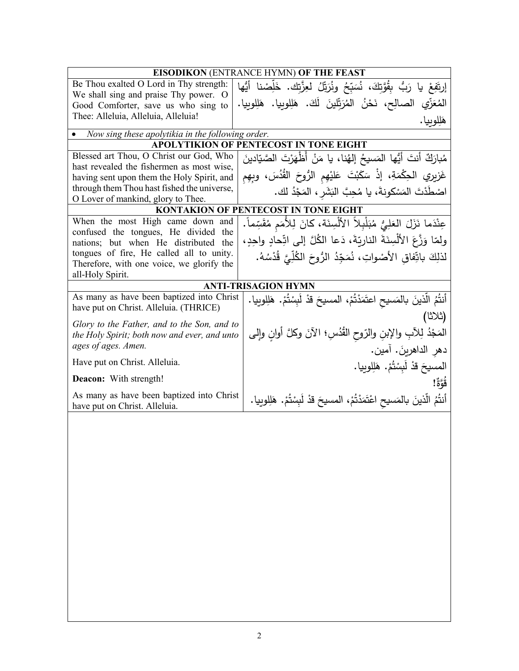| EISODIKON (ENTRANCE HYMN) OF THE FEAST            |                                                                                    |  |  |  |
|---------------------------------------------------|------------------------------------------------------------------------------------|--|--|--|
| Be Thou exalted O Lord in Thy strength:           | إِرتَفِعْ يا رَبُّ بِقُوَّتِكَ، نُسَبِّحُ وِنُرَتِّلُ لعِزَّتِك. خَلِّصْنا أَيُّها |  |  |  |
| We shall sing and praise Thy power. O             |                                                                                    |  |  |  |
| Good Comforter, save us who sing to               | المُعَزِّي الصالِح، نَحْنُ المُرَتِّلينَ لَكَ. هَلِلوبِيا. هَلِلوبِيا.             |  |  |  |
| Thee: Alleluia, Alleluia, Alleluia!               | هَلِلوبيا.                                                                         |  |  |  |
| Now sing these apolytikia in the following order. |                                                                                    |  |  |  |
|                                                   | <b>APOLYTIKION OF PENTECOST IN TONE EIGHT</b>                                      |  |  |  |
| Blessed art Thou, O Christ our God, Who           | مُبارَكٌ أنتَ أيُّها المَسيحُ إلهُنا، يا مَنْ أَظْهَرْتَ الصَّيّادينَ              |  |  |  |
| hast revealed the fishermen as most wise,         | غَزِيرِي الْحِكْمَةِ، إِذْ سَكَبْتَ عَلَيْهِمِ الرُّوحَ القُّدُسَ، وبِهِمِ         |  |  |  |
| having sent upon them the Holy Spirit, and        |                                                                                    |  |  |  |
| through them Thou hast fished the universe,       | اصْطَدْتَ المَسْكونةَ، يا مُحِبَّ النَشَرِ ، المَجْدُ لك.                          |  |  |  |
| O Lover of mankind, glory to Thee.                | <b>KONTAKION OF PENTECOST IN TONE EIGHT</b>                                        |  |  |  |
| When the most High came down and                  |                                                                                    |  |  |  |
| confused the tongues, He divided the              | عِنْدَما نَزَلَ العَلِيُّ مُبَلْبِلاً الأَلْسِنَة، كانَ لِلأَمَمِ مُقَسِّماً.      |  |  |  |
| nations; but when He distributed the              | ولِمّا وَزَّعَ الأَلْسِنَةَ النارِبّةَ، دَعا الكُلَّ إلى اتِّحادِ واحِدِ،          |  |  |  |
| tongues of fire, He called all to unity.          | لذلِكَ باتِّفاق الأصْواتِ، نُمَجِّدُ الرُّوحَ الكُلِّيَّ قُدْسُهُ.                 |  |  |  |
| Therefore, with one voice, we glorify the         |                                                                                    |  |  |  |
| all-Holy Spirit.                                  |                                                                                    |  |  |  |
|                                                   | <b>ANTI-TRISAGION HYMN</b>                                                         |  |  |  |
| As many as have been baptized into Christ         | أَنتُمُ الَّذينَ بالمَسيحِ اعتَمَدْتُمْ، المسيحَ قدْ لَبِسْتُمْ. هَلِلوبِيا.       |  |  |  |
| have put on Christ. Alleluia. (THRICE)            |                                                                                    |  |  |  |
| Glory to the Father, and to the Son, and to       | (ثلاثا)                                                                            |  |  |  |
| the Holy Spirit; both now and ever, and unto      | المَجْدُ لِلأَبِ والإبنِ والرّوحِ الْقُدُسِ؛ الآنَ وكلَّ أُوانٍ وإِلَى             |  |  |  |
| ages of ages. Amen.                               | دهر الداهرينَ. آمين.                                                               |  |  |  |
| Have put on Christ. Alleluia.                     | المسيحَ قدْ لَبِسْتُمْ. هَلِلوبيا.                                                 |  |  |  |
|                                                   |                                                                                    |  |  |  |
| <b>Deacon:</b> With strength!                     | قَوَّةٌ!                                                                           |  |  |  |
| As many as have been baptized into Christ         | أَنتُمُ الَّذينَ بالمَسيحِ اعْتَمَدْتُمْ، المسيحَ قدْ لَبِسْتُمْ. هَلِلوبِيا.      |  |  |  |
| have put on Christ. Alleluia.                     |                                                                                    |  |  |  |
|                                                   |                                                                                    |  |  |  |
|                                                   |                                                                                    |  |  |  |
|                                                   |                                                                                    |  |  |  |
|                                                   |                                                                                    |  |  |  |
|                                                   |                                                                                    |  |  |  |
|                                                   |                                                                                    |  |  |  |
|                                                   |                                                                                    |  |  |  |
|                                                   |                                                                                    |  |  |  |
|                                                   |                                                                                    |  |  |  |
|                                                   |                                                                                    |  |  |  |
|                                                   |                                                                                    |  |  |  |
|                                                   |                                                                                    |  |  |  |
|                                                   |                                                                                    |  |  |  |
|                                                   |                                                                                    |  |  |  |
|                                                   |                                                                                    |  |  |  |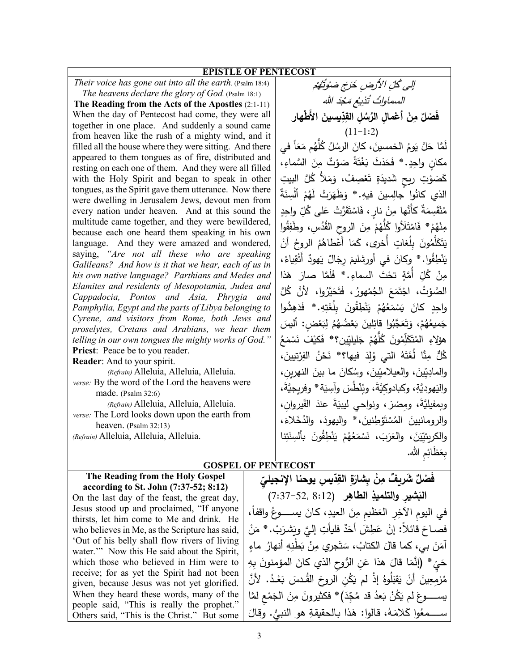## **EPISTLE OF PENTECOST**

*Their voice has gone out into all the earth.* (Psalm 18:4) *The heavens declare the glory of God.* (Psalm 18:1)

**The Reading from the Acts of the Apostles** (2:1-11) When the day of Pentecost had come, they were all together in one place. And suddenly a sound came from heaven like the rush of a mighty wind, and it filled all the house where they were sitting. And there appeared to them tongues as of fire, distributed and resting on each one of them. And they were all filled with the Holy Spirit and began to speak in other tongues, as the Spirit gave them utterance. Now there were dwelling in Jerusalem Jews, devout men from every nation under heaven. And at this sound the multitude came together, and they were bewildered, because each one heard them speaking in his own language. And they were amazed and wondered, saying, *"Are not all these who are speaking Galileans? And how is it that we hear, each of us in his own native language? Parthians and Medes and Elamites and residents of Mesopotamia, Judea and Cappadocia, Pontos and Asia, Phrygia and Pamphylia, Egypt and the parts of Libya belonging to Cyrene, and visitors from Rome, both Jews and proselytes, Cretans and Arabians, we hear them telling in our own tongues the mighty works of God."* **Priest**: Peace be to you reader.

**Reader**: And to your spirit.

*(Refrain)* Alleluia, Alleluia, Alleluia. *verse:* By the word of the Lord the heavens were made. (Psalm 32:6)

*(Refrain)* Alleluia, Alleluia, Alleluia. *verse:* The Lord looks down upon the earth from heaven. (Psalm 32:13)

*(Refrain)* Alleluia, Alleluia, Alleluia.

الى كُلِّ الأَرْضِ خَرَجَ صَوْتُهُمْ السماواتُ تُذيعُ مَجْدَ الله فَصْلٌ مِنْ أَعْمالِ الرُسُلِ القِدِّيسينَ الأَطْهار  $(11-1:2)$ لَمَّا حَلَّ يَومُ الخمسينَ، كانَ الرسُلُ كُلَّهُم مَعَاً في<br>منا مكانٍ واحِدٍ. \* فَحَدَثَ بَغْتَةً صَوْتٌ مِنَ السَّماءِ،<br>. َ كَصَوْتِ رِيحٍ شَديدَةٍ تَعْصِفُ، وَمَلأً كُلَّ البيتِ<br>. ْ الذي كانُوا جالِسينَ فيهِ.\* وَظَهَرَتْ لَهُمْ أَلْسِنَةٌ<br>... مُنْقَسِمَةٌ كأَنَّها مِنْ نارٍ، فَاسْتَقَرَّتْ عَلَى كُلِّ واحِدٍ<br>م .<br>م مِنْهُمْ\* فَامْتَلَأُوا كُلُّهُمْ مِنَ الروحِ القُدُسِ، وطَفِقُوا<br>مَنْ مُمُّ<br>ء و<br>نجم ِن يَتَكَلَّمُونَ بِلُغاتٍ أَخرى، كَمَا أَعْطاهُمُ الروحُ أنْ<br>مُسْهُ يَنْطِقُوا. \* وِكانَ في أورشليمَ رِجَالٌ يَهودٌ أَتْقِياءُ،<br>مَسْمَدُ ْ ْ مِنْ كُلِّ أُمَّةٍ تحْتَ السماءِ.\* فَلَمَّا صارَ هَذا ِينْ الصَّوْتُ، اجْتَمَعَ الْجُمْهورُ، فَتَحَيَّرُوا، لأَنَّ كُلَّ<br>مَّسْفُسُهُ الْمُسَلِّمَةِ واحِدٍ كانَ يَسْمَعُهُمْ يَنْطِقُونَ بِلُغَتِهِ.\* فَدَهِشُوا ֺ֧֖֧֧֧֚֚֚֚֚֚֚֚֚֚֚֚֚֚֚֚֚֚֚֚֚֚֚֚֚֚֚֚֝֝֩ جَميعُهُمْ<br>-ميعُهُمْ، وَتَعَجَّبُوا قائِلينَ بَعْضُهُمُ لِبَعْضٍ: أليسَ<br>ميعُهُمْ، وَتَعَجَّبُوا قائِلينَ هؤلاءِ المُتَكَلِّمُونَ كُلُّهُمْ جَليليِّين؟\* فَكيْفَ نَسْمَعُ<br>مُسْرِ مُسَمِّدٍ كُلٌّ مِنَّا لُغَتَهُ التي وُلِدَ فيها؟\* نَحْنُ الفِرْتيينَ، والمادِيِّينَ، والعيلاميِّينَ، وسُكانَ ما بينَ النهرينِ،<br>مَسْتَمَرَّةٍ واليَهوديَّةِ، وكبادوكِيَّةَ، وبُنْطُسَ وآسِيَة\* وفريجيَّةَ، وبمفيليَّةَ، ومِصْرَ ، ونواحي ليبيَةَ عندَ القَيروانِ، والرومانيينَ المُسْتَوْطِنينَ، \* واليهودَ، والدُخَلاءَ،<br>. والكريتيِّيَنَ، والعَرَبَ، نَسْمَعُهُمْ يَنْطِقُونَ بِأَلْسِنَتِنا ْ بِعَظَائِمِ الله.

َ

## **GOSPEL OF PENTECOST**

| The Reading from the Holy Gospel               | فَصْلٌ شَرِيفٌ مِنْ بِشارَةٍ القِدّيسِ يوحنا الإنجيليّ                        |
|------------------------------------------------|-------------------------------------------------------------------------------|
| according to St. John (7:37-52; 8:12)          |                                                                               |
| On the last day of the feast, the great day,   | البَشير والتلميذِ الطاهِرِ (52, 52–7:37)                                      |
| Jesus stood up and proclaimed, "If anyone      | في اليوم الآخِرِ العَظيمِ مِنَ العيدِ، كانَ يســــوعُ واقفاً،                 |
| thirsts, let him come to Me and drink. He      |                                                                               |
| who believes in Me, as the Scripture has said, | فصـاحَ قائلاً: إنْ عَطِشَ أَحَدٌ فليأتِ إِلَيَّ وبَشرَبْ. * مَنْ              |
| Out of his belly shall flow rivers of living   |                                                                               |
| water." Now this He said about the Spirit,     | آمَنَ بي، كما قالَ الكتابُ، سَتَجرِي مِنْ بَطْنِهِ أنهارُ ماءٍ                |
| which those who believed in Him were to        | حَيِّ * (إِنَّمَا قَالَ هذا عَنِ الرُّوحِ الذي كانَ المؤمنونَ بِهِ            |
| receive; for as yet the Spirit had not been    |                                                                               |
| given, because Jesus was not yet glorified.    | مُزْمِعِينَ أَنْ يَقْبَلُوهُ إِذْ لَم يَكُنِ الروحَ القُـْدسَ بَعْـدُ. لأَنَّ |
| When they heard these words, many of the       | يســــــوعَ لم يَكُنْ بَعدُ قد مُجِّدَ)* فكثيرونَ مِنَ الْجَمْعِ لَمَّا       |
| people said, "This is really the prophet."     |                                                                               |
| Others said, "This is the Christ." But some    | ســـمعُوا كَلامَهُ، قالوا: هَذا بالحقيقةِ هو النبيُّ. وقالَ                   |
|                                                |                                                                               |